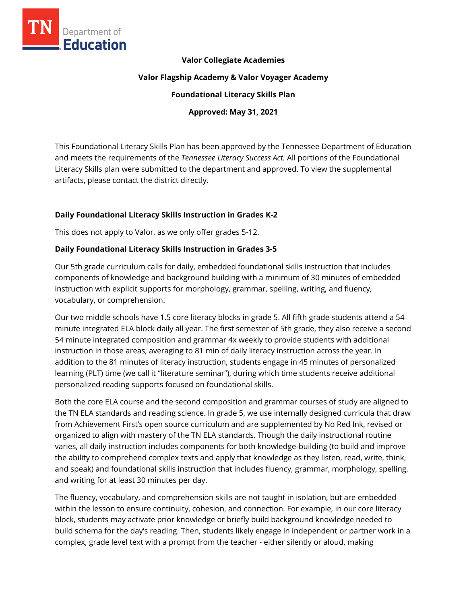

#### **Valor Collegiate Academies**

#### **Valor Flagship Academy & Valor Voyager Academy**

#### **Foundational Literacy Skills Plan**

#### **Approved: May 31, 2021**

This Foundational Literacy Skills Plan has been approved by the Tennessee Department of Education and meets the requirements of the *Tennessee Literacy Success Act.* All portions of the Foundational Literacy Skills plan were submitted to the department and approved. To view the supplemental artifacts, please contact the district directly.

#### **Daily Foundational Literacy Skills Instruction in Grades K-2**

This does not apply to Valor, as we only offer grades 5-12.

#### **Daily Foundational Literacy Skills Instruction in Grades 3-5**

Our 5th grade curriculum calls for daily, embedded foundational skills instruction that includes components of knowledge and background building with a minimum of 30 minutes of embedded instruction with explicit supports for morphology, grammar, spelling, writing, and fluency, vocabulary, or comprehension.

Our two middle schools have 1.5 core literacy blocks in grade 5. All fifth grade students attend a 54 minute integrated ELA block daily all year. The first semester of 5th grade, they also receive a second 54 minute integrated composition and grammar 4x weekly to provide students with additional instruction in those areas, averaging to 81 min of daily literacy instruction across the year. In addition to the 81 minutes of literacy instruction, students engage in 45 minutes of personalized learning (PLT) time (we call it "literature seminar"), during which time students receive additional personalized reading supports focused on foundational skills.

Both the core ELA course and the second composition and grammar courses of study are aligned to the TN ELA standards and reading science. In grade 5, we use internally designed curricula that draw from Achievement First's open source curriculum and are supplemented by No Red Ink, revised or organized to align with mastery of the TN ELA standards. Though the daily instructional routine varies, all daily instruction includes components for both knowledge-building (to build and improve the ability to comprehend complex texts and apply that knowledge as they listen, read, write, think, and speak) and foundational skills instruction that includes fluency, grammar, morphology, spelling, and writing for at least 30 minutes per day.

The fluency, vocabulary, and comprehension skills are not taught in isolation, but are embedded within the lesson to ensure continuity, cohesion, and connection. For example, in our core literacy block, students may activate prior knowledge or briefly build background knowledge needed to build schema for the day's reading. Then, students likely engage in independent or partner work in a complex, grade level text with a prompt from the teacher - either silently or aloud, making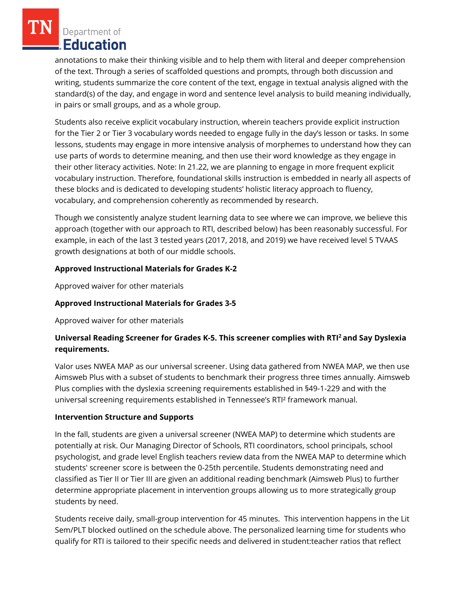Department of Education

annotations to make their thinking visible and to help them with literal and deeper comprehension of the text. Through a series of scaffolded questions and prompts, through both discussion and writing, students summarize the core content of the text, engage in textual analysis aligned with the standard(s) of the day, and engage in word and sentence level analysis to build meaning individually, in pairs or small groups, and as a whole group.

Students also receive explicit vocabulary instruction, wherein teachers provide explicit instruction for the Tier 2 or Tier 3 vocabulary words needed to engage fully in the day's lesson or tasks. In some lessons, students may engage in more intensive analysis of morphemes to understand how they can use parts of words to determine meaning, and then use their word knowledge as they engage in their other literacy activities. Note: In 21.22, we are planning to engage in more frequent explicit vocabulary instruction. Therefore, foundational skills instruction is embedded in nearly all aspects of these blocks and is dedicated to developing students' holistic literacy approach to fluency, vocabulary, and comprehension coherently as recommended by research.

Though we consistently analyze student learning data to see where we can improve, we believe this approach (together with our approach to RTI, described below) has been reasonably successful. For example, in each of the last 3 tested years (2017, 2018, and 2019) we have received level 5 TVAAS growth designations at both of our middle schools.

### **Approved Instructional Materials for Grades K-2**

Approved waiver for other materials

# **Approved Instructional Materials for Grades 3-5**

Approved waiver for other materials

# **Universal Reading Screener for Grades K-5. This screener complies with RTI<sup>2</sup>and Say Dyslexia requirements.**

Valor uses NWEA MAP as our universal screener. Using data gathered from NWEA MAP, we then use Aimsweb Plus with a subset of students to benchmark their progress three times annually. Aimsweb Plus complies with the dyslexia screening requirements established in §49-1-229 and with the universal screening requirements established in Tennessee's RTI² framework manual.

### **Intervention Structure and Supports**

In the fall, students are given a universal screener (NWEA MAP) to determine which students are potentially at risk. Our Managing Director of Schools, RTI coordinators, school principals, school psychologist, and grade level English teachers review data from the NWEA MAP to determine which students' screener score is between the 0-25th percentile. Students demonstrating need and classified as Tier II or Tier III are given an additional reading benchmark (Aimsweb Plus) to further determine appropriate placement in intervention groups allowing us to more strategically group students by need.

Students receive daily, small-group intervention for 45 minutes. This intervention happens in the Lit Sem/PLT blocked outlined on the schedule above. The personalized learning time for students who qualify for RTI is tailored to their specific needs and delivered in student:teacher ratios that reflect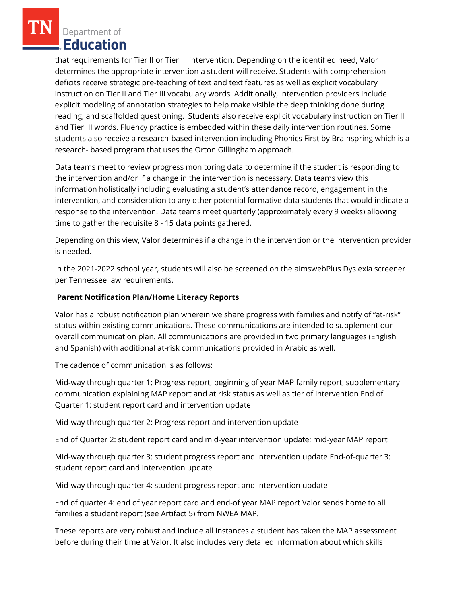Department of Education

that requirements for Tier II or Tier III intervention. Depending on the identified need, Valor determines the appropriate intervention a student will receive. Students with comprehension deficits receive strategic pre-teaching of text and text features as well as explicit vocabulary instruction on Tier II and Tier III vocabulary words. Additionally, intervention providers include explicit modeling of annotation strategies to help make visible the deep thinking done during reading, and scaffolded questioning. Students also receive explicit vocabulary instruction on Tier II and Tier III words. Fluency practice is embedded within these daily intervention routines. Some students also receive a research-based intervention including Phonics First by Brainspring which is a research- based program that uses the Orton Gillingham approach.

Data teams meet to review progress monitoring data to determine if the student is responding to the intervention and/or if a change in the intervention is necessary. Data teams view this information holistically including evaluating a student's attendance record, engagement in the intervention, and consideration to any other potential formative data students that would indicate a response to the intervention. Data teams meet quarterly (approximately every 9 weeks) allowing time to gather the requisite 8 - 15 data points gathered.

Depending on this view, Valor determines if a change in the intervention or the intervention provider is needed.

In the 2021-2022 school year, students will also be screened on the aimswebPlus Dyslexia screener per Tennessee law requirements.

### **Parent Notification Plan/Home Literacy Reports**

Valor has a robust notification plan wherein we share progress with families and notify of "at-risk" status within existing communications. These communications are intended to supplement our overall communication plan. All communications are provided in two primary languages (English and Spanish) with additional at-risk communications provided in Arabic as well.

The cadence of communication is as follows:

Mid-way through quarter 1: Progress report, beginning of year MAP family report, supplementary communication explaining MAP report and at risk status as well as tier of intervention End of Quarter 1: student report card and intervention update

Mid-way through quarter 2: Progress report and intervention update

End of Quarter 2: student report card and mid-year intervention update; mid-year MAP report

Mid-way through quarter 3: student progress report and intervention update End-of-quarter 3: student report card and intervention update

Mid-way through quarter 4: student progress report and intervention update

End of quarter 4: end of year report card and end-of year MAP report Valor sends home to all families a student report (see Artifact 5) from NWEA MAP.

These reports are very robust and include all instances a student has taken the MAP assessment before during their time at Valor. It also includes very detailed information about which skills